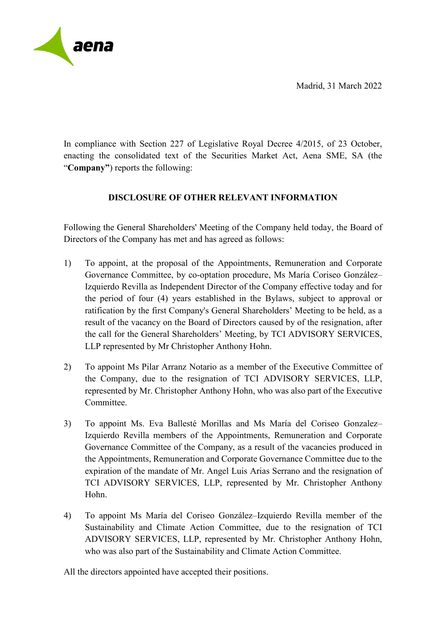Madrid, 31 March 2022



In compliance with Section 227 of Legislative Royal Decree 4/2015, of 23 October, enacting the consolidated text of the Securities Market Act, Aena SME, SA (the "**Company"**) reports the following:

## **DISCLOSURE OF OTHER RELEVANT INFORMATION**

Following the General Shareholders' Meeting of the Company held today, the Board of Directors of the Company has met and has agreed as follows:

- 1) To appoint, at the proposal of the Appointments, Remuneration and Corporate Governance Committee, by co-optation procedure, Ms María Coriseo González– Izquierdo Revilla as Independent Director of the Company effective today and for the period of four (4) years established in the Bylaws, subject to approval or ratification by the first Company's General Shareholders' Meeting to be held, as a result of the vacancy on the Board of Directors caused by of the resignation, after the call for the General Shareholders' Meeting, by TCI ADVISORY SERVICES, LLP represented by Mr Christopher Anthony Hohn.
- 2) To appoint Ms Pilar Arranz Notario as a member of the Executive Committee of the Company, due to the resignation of TCI ADVISORY SERVICES, LLP, represented by Mr. Christopher Anthony Hohn, who was also part of the Executive Committee.
- 3) To appoint Ms. Eva Ballesté Morillas and Ms María del Coriseo Gonzalez– Izquierdo Revilla members of the Appointments, Remuneration and Corporate Governance Committee of the Company, as a result of the vacancies produced in the Appointments, Remuneration and Corporate Governance Committee due to the expiration of the mandate of Mr. Angel Luis Arias Serrano and the resignation of TCI ADVISORY SERVICES, LLP, represented by Mr. Christopher Anthony Hohn.
- 4) To appoint Ms María del Coriseo González–Izquierdo Revilla member of the Sustainability and Climate Action Committee, due to the resignation of TCI ADVISORY SERVICES, LLP, represented by Mr. Christopher Anthony Hohn, who was also part of the Sustainability and Climate Action Committee.

All the directors appointed have accepted their positions.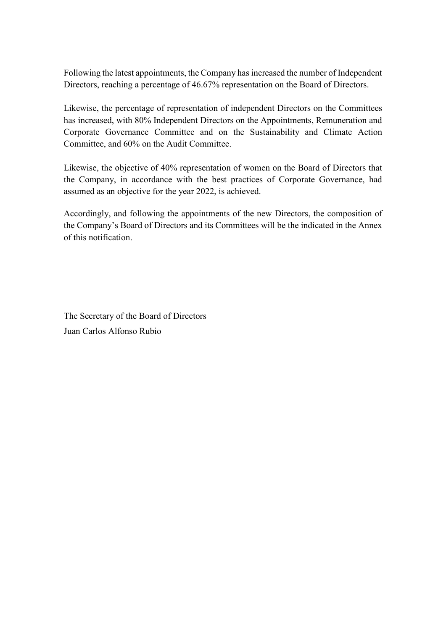Following the latest appointments, the Company has increased the number of Independent Directors, reaching a percentage of 46.67% representation on the Board of Directors.

Likewise, the percentage of representation of independent Directors on the Committees has increased, with 80% Independent Directors on the Appointments, Remuneration and Corporate Governance Committee and on the Sustainability and Climate Action Committee, and 60% on the Audit Committee.

Likewise, the objective of 40% representation of women on the Board of Directors that the Company, in accordance with the best practices of Corporate Governance, had assumed as an objective for the year 2022, is achieved.

Accordingly, and following the appointments of the new Directors, the composition of the Company's Board of Directors and its Committees will be the indicated in the Annex of this notification.

The Secretary of the Board of Directors Juan Carlos Alfonso Rubio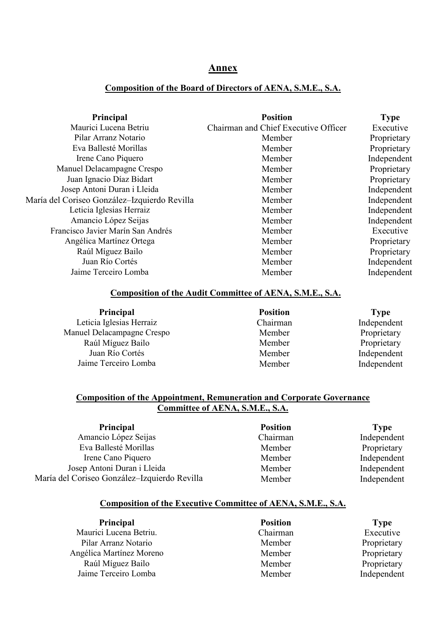## **Annex**

## **Composition of the Board of Directors of AENA, S.M.E., S.A.**

| <b>Position</b>                      | <b>Type</b> |
|--------------------------------------|-------------|
| Chairman and Chief Executive Officer | Executive   |
| Member                               | Proprietary |
| Member                               | Proprietary |
| Member                               | Independent |
| Member                               | Proprietary |
| Member                               | Proprietary |
| Member                               | Independent |
| Member                               | Independent |
| Member                               | Independent |
| Member                               | Independent |
| Member                               | Executive   |
| Member                               | Proprietary |
| Member                               | Proprietary |
| Member                               | Independent |
| Member                               | Independent |
|                                      |             |

## **Composition of the Audit Committee of AENA, S.M.E., S.A.**

| Principal                  | <b>Position</b> | <b>Type</b> |
|----------------------------|-----------------|-------------|
| Leticia Iglesias Herraiz   | Chairman        | Independent |
| Manuel Delacampagne Crespo | Member          | Proprietary |
| Raúl Míguez Bailo          | Member          | Proprietary |
| Juan Río Cortés            | Member          | Independent |
| Jaime Terceiro Lomba       | Member          | Independent |

## **Composition of the Appointment, Remuneration and Corporate Governance Committee of AENA, S.M.E., S.A.**

**Principal Position Position Type**<br> **Position Type**<br> **Position Type**<br> **Chairman Independ** Amancio López Seijas Chairman Independent Eva Ballesté Morillas Member Member Proprietary Irene Cano Piquero **Independent** Member **Independent** Josep Antoni Duran i Lleida María del Coriseo González–Izquierdo Revilla Member Member Independent Independent

## **Composition of the Executive Committee of AENA, S.M.E., S.A.**

| Principal                | <b>Position</b> | <b>Type</b> |
|--------------------------|-----------------|-------------|
| Maurici Lucena Betriu.   | Chairman        | Executive   |
| Pilar Arranz Notario     | Member          | Proprietary |
| Angélica Martínez Moreno | Member          | Proprietary |
| Raúl Míguez Bailo        | Member          | Proprietary |
| Jaime Terceiro Lomba     | Member          | Independent |